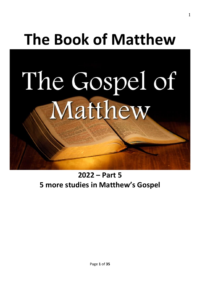# **The Book of Matthew**

The Gospel of Matthew

# **2022 – Part 5 5 more studies in Matthew's Gospel**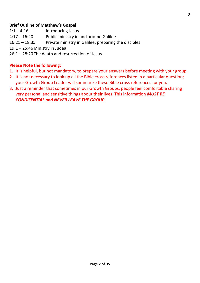# **Brief Outline of Matthew's Gospel**

- 1:1 4:16 Introducing Jesus
- 4:17 16:20 Public ministry in and around Galilee
- 16:21 18:35 Private ministry in Galilee; preparing the disciples
- 19:1 25:46Ministry in Judea
- 26:1 28:20The death and resurrection of Jesus

# **Please Note the following:**

- 1. It is helpful, but not mandatory, to prepare your answers before meeting with your group.
- 2. It is not necessary to look up all the Bible cross references listed in a particular question; your Growth Group Leader will summarize these Bible cross references for you.
- 3. Just a reminder that sometimes in our Growth Groups, people feel comfortable sharing very personal and sensitive things about their lives. This information *MUST BE CONDIFENTIAL and NEVER LEAVE THE GROUP.*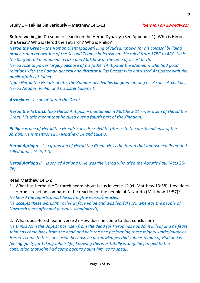# **Study 1 – Taking Sin Seriously – Matthew 14:1-13** *(Sermon on 29-May-22)*

**Before we begin:** Do some research on the Herod Dynasty. (See Appendix 1). Who is Herod the Great? Who is Herod the Tetrarch? Who is Philip?

*Herod the Great – the Roman client (puppet) king of Judea. Known for his colossal building projects and renovation of the Second Temple in Jerusalem. He ruled from 37BC to 4BC. He is the King Herod mentioned in Luke and Matthew at the time of Jesus' birth.*

*Herod rose to power largely because of his father (Antipater the Idumean) who had good relations with the Roman general and dictator Julius Caesar who entrusted Antipater with the public affairs of Judea.* 

*Upon Herod the Great's death, the Romans divided his kingdom among his 3 sons: Archelaus, Herod Antipas, Philip; and his sister Salome I.*

*Archelaus – a son of Herod the Great.*

*Herod the Tetrarch (aka Herod Antipas) – mentioned in Matthew 14 - was a son of Herod the Great. His title meant that he ruled over a fourth part of the Kingdom.*

*Philip – is one of Herod the Great's sons. He ruled territories to the north and east of the Jordan. He is mentioned in Matthew 14 and Luke 3.*

*Herod Agrippa – is a grandson of Herod the Great. He is the Herod that imprisoned Peter and killed James (Acts 12).*

*Herod Agrippa II – is son of Agrippa I. He was the Herod who tried the Apostle Paul (Acts 25- 26)*

# **Read Matthew 14:1-2**

1. What has Herod the Tetrarch heard about Jesus in verse 1? (cf. Matthew 13:58). How does Herod's reaction compare to the reaction of the people of Nazareth (Matthew 13:57)?

*He heard the reports about Jesus (mighty works/miracles). He accepts these works/miracles at face value and was fearful (v2), whereas the people of Nazareth were offended (literally scandalized!).* 

2. What does Herod fear in verse 2? How does he come to that conclusion?

*He thinks John the Baptist has risen from the dead (as Herod has had John killed) and he fears John has come back from the dead and he's the one performing these mighty works/miracles. Herod's come to this conclusion because he acknowledges that John is a man of God and is feeling guilty for taking John's life, knowing this was totally wrong; he jumped to the conclusion that John had come back to haunt him, so to speak.*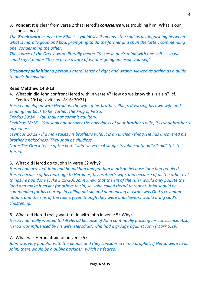3. **Ponder**: It is clear from verse 2 that Herod's *conscience* was troubling him. What is our conscience?

*The Greek word used in the Bible is syneidēsis. It means - the soul as distinguishing between what is morally good and bad, prompting to do the former and shun the latter, commending one, condemning the other.*

*The source of the Greek word: literally means "to see in one's mind with one-self" – so we could say it means "to see or be aware of what is going on inside yourself"* 

*Dictionary definition: a person's moral sense of right and wrong, viewed as acting as a guide to one's behaviour.*

# **Read Matthew 14:3-13**

4. What sin did John confront Herod with in verse 4? How do we know this is a sin? (cf. Exodus 20:14; Leviticus 18:16; 20:21)

*Herod had eloped with Herodias, the wife of his brother, Philip; divorcing his own wife and sending her back to her father, the King of Petra.* 

*Exodus 20:14 – You shall not commit adultery.*

*Leviticus 18:16 – You shall not uncover the nakedness of your brother's wife; it is your brother's nakedness.*

*Leviticus 20:21 - If a man takes his brother's wife, it is an unclean thing. He has uncovered his brother's nakedness. They shall be childless.*

*Note: The Greek tense of the verb "said" in verse 4 suggests John continually "said" this to Herod.*

# 5. What did Herod do to John in verse 3? Why?

*Herod had arrested John and bound him and put him in prison because John had rebuked Herod because of his marriage to Herodias, his brother's wife, and because of all the other evil things he had done (Luke 3:19-20). John knew that the sin of the ruler would only pollute the land and make it easier for others to sin; so, John called Herod to repent. John should be commended for his courage in calling out sin and denouncing it. Israel was God's covenant nation, and the sins of the rulers (even though they were unbelievers) would bring God's chastening.*

## 6. What did Herod really want to do with John in verse 5? Why?

*Herod had really wanted to kill Herod because of John continually pricking his conscience. Also, Herod was influenced by his wife, Herodias', who had a grudge against John (Mark 6:19)*

# 7. What was Herod afraid of, in verse 5?

John was very popular with the people and they considered him a prophet. If Herod were to kill *John, there would be a public backlash, which he feared.*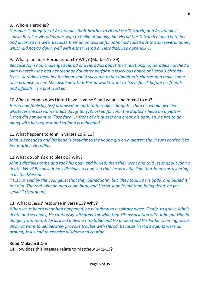*Herodias is daughter of Aristobulus (half-brother to Herod the Tetrarch) and Aristobulus' cousin Bernice. Herodias was wife to Philip originally; but Herod the Tetrarch eloped with her and divorced his wife. Because their union was sinful, John had called out this sin several times; which did not go down well with either Herod or Herodias. See appendix 1.*

# 9. What plan does Herodias hatch? Why? (Mark 6:17-29)

*Because John had challenged Herod and Herodias about their relationship; Herodias hatched a plan whereby she had her teenage daughter perform a lascivious dance at Herod's birthday feast. Herodias knew her husband would succumb to her daughter's charms and make some rash promise to her. She also knew that Herod would want to "save face" before his friends and officials. The plot worked.*

# 10.What dilemma does Herod have in verse 9 and what is he forced to do?

*Herod had foolishly (v7) promised an oath to Herodias' daughter than he would give her whatever she asked. Herodias daughter (v8) asked for John the Baptist's head on a platter. Herod did not want to "lose face" in front of his guests and break his oath; so, he has to go along with her request and so John is beheaded.*

# 11.What happens to John in verses 10 & 11?

*John is beheaded and his head is brought to the young girl on a platter; she in turn carried it to her mother, Herodias.*

# 12.What do John's disciples do? Why?

*John's disciples came and took his body and buried; then they went and told Jesus about John's death. Why? Because John's disciples recognized that Jesus as the One that John was ushering in as the Messiah.*

*"It is not said by the Evangelist that they buried John, but 'they took up his body, and buried it,' not him. The real John no man could bury, and Herod soon found that, being dead, he yet spoke." (Spurgeon)*

# 13. What is Jesus' response in verse 13? Why?

*When Jesus heard what had happened, he withdrew to a solitary place. Firstly, to grieve John's death and secondly, He cautiously withdrew knowing that His association with John put Him in danger from Herod. Jesus lived a divine timetable and He understood His Father's timing; Jesus also not want to deliberately provoke trouble with Herod. Because Herod's agents were all around, Jesus had to exercise wisdom and caution.*

# **Read Malachi 3:1-5**

14.How does this passage relate to Matthew 14:1-13?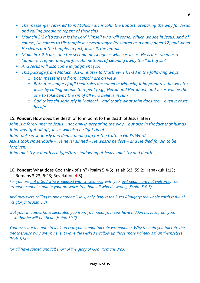- *The messenger referred to in Malachi 3:1 is John the Baptist, preparing the way for Jesus and calling people to repent of their sins*
- *Malachi 3:1 also says it is the Lord Himself who will come. Which we see in Jesus. And of course, He comes to His temple in several ways: Presented as a baby; aged 12; and when He clears out the temple. In fact, Jesus IS the temple.*
- *Malachi 3:2-5 describe the second messenger which is Jesus. He is described as a launderer, refiner and purifier. All methods of cleaning away the "dirt of sin"*
- *And Jesus will also come in judgment (v5)*
- *This passage from Malachi 3:1-5 relates to Matthew 14:1-13 in the following ways:*
	- o *Both messengers from Malachi are on view*
	- o *Both messengers fulfil their roles described in Malachi; John prepares the way for Jesus by calling people to repent (e.g., Herod and Herodias); and Jesus will be the one to take away the sin of all who believe in Him*
	- o *God takes sin seriously in Malachi – and that's what John does too – even it costs his life!*

# 15. **Ponder**: How does the death of John point to the death of Jesus later?

*John is a forerunner to Jesus – not only in preparing the way – but also in the fact that just as John was "got rid of"; Jesus will also be "got rid of".* 

*John took sin seriously and died standing up for the truth in God's Word.*

*Jesus took sin seriously – He never sinned – He was/is perfect – and He died for sin to be forgiven.*

*John ministry & death is a type/foreshadowing of Jesus' ministry and death.*

16. **Ponder**: What does God think of sin? (Psalm 5:4-5; Isaiah 6:3; 59:2; Habakkuk 1:13; Romans 3:23; 6:23; Revelation 4:8)

*For you are not a God who is pleased with wickedness; with you, evil people are not welcome. The arrogant cannot stand in your presence. You hate all who do wrong; (Psalm 5:4-5)*

*And they were calling to one another: "Holy, holy, holy is the LORD Almighty; the whole earth is full of his glory." (Isaiah 6:3)*

*But your iniquities have separated you from your God; your sins have hidden his face from you, so that he will not hear. (Isaiah 59:2)*

*Your eyes are too pure to look on evil; you cannot tolerate wrongdoing. Why then do you tolerate the treacherous? Why are you silent while the wicked swallow up those more righteous than themselves? (Hab 1:13)*

*for all have sinned and fall short of the glory of God (Romans 3:23)*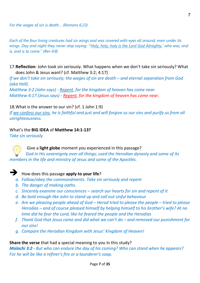*Each of the four living creatures had six wings and was covered with eyes all around, even under its wings. Day and night they never stop saying: "'Holy, holy, holy is the Lord God Almighty,' who was, and is, and is to come." (Rev 4:8)*

17.**Reflection**: John took sin seriously. What happens when we don't take sin seriously? What does John & Jesus want? (cf. Matthew 3:2; 4:17)

*If we don't take sin seriously; the wages of sin are death – and eternal separation from God (aka Hell).*

*Matthew 3:2 (John says) - Repent, for the kingdom of heaven has come near. Matthew 4:17 (Jesus says) - Repent, for the kingdom of heaven has come near.*

## 18.What is the answer to our sin? (cf. 1 John 1:9)

*If we confess our sins, he is faithful and just and will forgive us our sins and purify us from all unrighteousness.*

## What's the **BIG IDEA** of **Matthew 14:1-13?**

*Take sin seriously.*

Give a **light globe** moment you experienced in this passage? *God in His sovereignty over all things; used the Herodian dynasty and some of its members in the life and ministry of Jesus and some of the Apostles.*

# ➔ How does this passage **apply to your life**?

- *a. Follow/obey the commandments. Take sin seriously and repent*
- *b. The danger of making oaths.*
- *c. Sincerely examine our consciences – search our hearts for sin and repent of it*
- *d. Be bold enough like John to stand up and call out sinful behaviour*
- *e. Are we pleasing people ahead of God – Herod tried to please the people – tried to please Herodias – and of course pleased himself by helping himself to his brother's wife? At no time did he fear the Lord, like he feared the people and the Herodias*
- *f. Thank God that Jesus came and did what we can't do – and removed our punishment for our sins!*
- *g. Compare the Herodian Kingdom with Jesus' Kingdom of Heaven!*

#### **Share the verse** that had a special meaning to you in this study?

*Malachi 3:2 - But who can endure the day of his coming? Who can stand when he appears? For he will be like a refiner's fire or a launderer's soap.*

7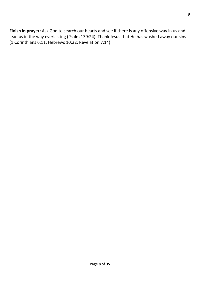**Finish in prayer:** Ask God to search our hearts and see if there is any offensive way in us and lead us in the way everlasting (Psalm 139:24). Thank Jesus that He has washed away our sins (1 Corinthians 6:11; Hebrews 10:22; Revelation 7:14)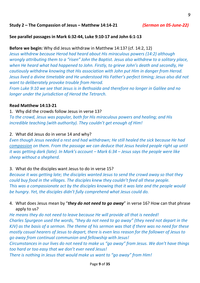## **Study 2 – The Compassion of Jesus – Matthew 14:14-21** *(Sermon on 05-June-22)*

#### **See parallel passages in Mark 6:32-44, Luke 9:10-17 and John 6:1-13**

## **Before we begin:** Why did Jesus withdraw in Matthew 14:13? (cf. 14:2, 12)

*Jesus withdrew because Herod had heard about His miraculous powers (14:2) although wrongly attributing them to a "risen" John the Baptist. Jesus also withdrew to a solitary place, when He heard what had happened to John. Firstly, to grieve John's death and secondly, He cautiously withdrew knowing that His association with John put Him in danger from Herod. Jesus lived a divine timetable and He understood His Father's perfect timing; Jesus also did not want to deliberately provoke trouble from Herod.* 

*From Luke 9:10 we see that Jesus is in Bethsaida and therefore no longer in Galilee and no longer under the jurisdiction of Herod the Tetrarch.*

#### **Read Matthew 14:13-21**

1. Why did the crowds follow Jesus in verse 13? *To the crowd, Jesus was popular, both for His miraculous powers and healing; and His incredible teaching (with authority). They couldn't get enough of Him!*

#### 2. What did Jesus do in verse 14 and why?

*Even though Jesus needed a rest and had withdrawn; He still healed the sick because He had compassion on them. From the passage we can deduce that Jesus healed people right up until it was getting dark (late). In Mark's account – Mark 6:34 – Jesus says the people were like sheep without a shepherd.*

## 3. What do the disciples want Jesus to do in verse 15?

*Because it was getting late; the disciples wanted Jesus to send the crowd away so that they could buy food in the villages. The disciples knew they couldn't feed all these people. This was a compassionate act by the disciples knowing that it was late and the people would be hungry. Yet, the disciples didn't fully comprehend what Jesus could do.*

# 4. What does Jesus mean by "*they do not need to go away*" in verse 16? How can that phrase apply to us?

*He means they do not need to leave because He will provide all that is needed! Charles Spurgeon used the words, "they do not need to go away" (they need not depart in the KJV) as the basis of a sermon. The theme of his sermon was that if there was no need for these mostly casual hearers of Jesus to depart, there is even less reason for the follower of Jesus to go away from continual communion and fellowship with Jesus!*

*Circumstances in our lives do not need to make us "go away" from Jesus. We don't have things too hard or too easy that we don't ever need Jesus!*

*There is nothing in Jesus that would make us want to "go away" from Him!*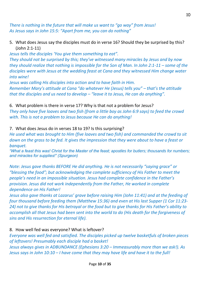*There is nothing in the future that will make us want to "go way" from Jesus! As Jesus says in John 15:5: "Apart from me, you can do nothing"*

5. What does Jesus say the disciples must do in verse 16? Should they be surprised by this? (John 2:1-11)

*Jesus tells the disciples 'You give them something to eat". They should not be surprised by this; they've witnessed many miracles by Jesus and by now they should realize that nothing is impossible for the Son of Man. In John 2:1-11 – some of the disciples were with Jesus at the wedding feast at Cana and they witnessed Him change water into wine!*

*Jesus was calling His disciples into action and to have faith in Him. Remember Mary's attitude at Cana "do whatever He (Jesus) tells you" – that's the attitude that the disciples and us need to develop – "leave it to Jesus, He can do anything".*

6. What problem is there in verse 17? Why is that not a problem for Jesus? *They only have five loaves and two fish (from a little boy as John 6:9 says) to feed the crowd with. This is not a problem to Jesus because He can do anything!*

# 7. What does Jesus do in verses 18 to 19? Is this surprising?

*He used what was brought to Him (five loaves and two fish) and commanded the crowd to sit down on the grass to be fed. It gives the impression that they were about to have a feast or banquet.*

*"What a feast this was! Christ for the Master of the feast; apostles for butlers; thousands for numbers; and miracles for supplies!" (Spurgeon)*

*Note: Jesus gave thanks BEFORE He did anything. He is not necessarily "saying grace" or "blessing the food"; but acknowledging the complete sufficiency of His Father to meet the people's need in an impossible situation. Jesus had complete confidence in the Father's provision. Jesus did not work independently from the Father, He worked in complete dependence on His Father!*

*Jesus also gave thanks at Lazarus' grave before raising Him (John 11:41) and at the feeding of four thousand before feeding them (Matthew 15:36) and even at His last Supper (1 Cor 11:23- 24) not to give thanks for His betrayal or the food but to give thanks for His Father's ability to accomplish all that Jesus had been sent into the world to do (His death for the forgiveness of sins and His resurrection for eternal life).*

# 8. How well fed was everyone? What is leftover?

*Everyone was well fed and satisfied. The disciples picked up twelve basketfuls of broken pieces of leftovers! Presumably each disciple had a basket!*

*Jesus always gives in ADBUNDANCE (Ephesians 3:20 – Immeasurably more than we ask!). As Jesus says in John 10:10 – I have come that they may have life and have it to the full!*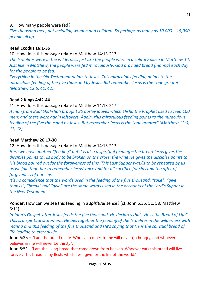# 9. How many people were fed?

*Five thousand men, not including women and children. So perhaps as many as 10,000 – 15,000 people all up.*

# **Read Exodus 16:1-36**

10. How does this passage relate to Matthew 14:13-21?

*The Israelites were in the wilderness just like the people were in a solitary place in Matthew 14. Just like in Matthew, the people were fed miraculously. God provided bread (manna) each day for the people to be fed.*

*Everything in the Old Testament points to Jesus. This miraculous feeding points to the miraculous feeding of the five thousand by Jesus. But remember Jesus is the "one greater" (Matthew 12:6, 41, 42).*

# **Read 2 Kings 4:42-44**

## 11. How does this passage relate to Matthew 14:13-21?

*A man from Baal Shalishah brought 20 barley loaves which Elisha the Prophet used to feed 100 men; and there were again leftovers. Again, this miraculous feeding points to the miraculous feeding of the five thousand by Jesus. But remember Jesus is the "one greater" (Matthew 12:6, 41, 42).*

# **Read Matthew 26:17-30**

# 12. How does this passage relate to Matthew 14:13-21?

*Here we have another "feeding" but it is also a spiritual feeding – the bread Jesus gives the disciples points to His body to be broken on the cross; the wine He gives the disciples points to His blood poured out for the forgiveness of sins. This Last Supper was/is to be repeated by us as we join together to remember Jesus' once and for all sacrifice for sins and the offer of forgiveness of our sins.*

*It's no coincidence that the words used in the feeding of the five thousand: "take", "give thanks", "break" and "give" are the same words used in the accounts of the Lord's Supper in the New Testament.*

**Ponder**: How can we see this feeding in a *spiritual* sense? (cf. John 6:35, 51, 58; Matthew 6:11)

*In John's Gospel, after Jesus feeds the five thousand, He declares that "He is the Bread of Life". This is a spiritual statement. He ties together the feeding of the Israelites in the wilderness with manna and this feeding of the five thousand and He's saying that He is the spiritual bread of life leading to eternal life.* 

John 6:35 – "I am the bread of life. Whoever comes to me will never go hungry, and whoever believes in me will never be thirsty".

John 6:51 - "I am the living bread that came down from heaven. Whoever eats this bread will live forever. This bread is my flesh, which I will give for the life of the world."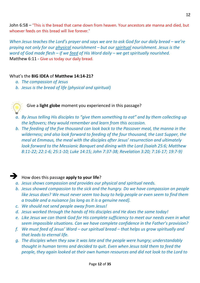John 6:58 – "This is the bread that came down from heaven. Your ancestors ate manna and died, but whoever feeds on this bread will live forever."

*When Jesus teaches the Lord's prayer and says we are to ask God for our daily bread – we're praying not only for our physical nourishment – but our spiritual nourishment. Jesus is the word of God made flesh – if we feed of His Word daily – we get spiritually nourished.* Matthew 6:11 - Give us today our daily bread.

## What's the **BIG IDEA** of **Matthew 14:14-21?**

- *a. The compassion of Jesus*
- *b. Jesus is the bread of life (physical and spiritual)*



Give a **light globe** moment you experienced in this passage?

- *a. By Jesus telling His disciples to "give them something to eat" and by them collecting up the leftovers; they would remember and learn from this occasion.*
- *b. The feeding of the five thousand can look back to the Passover meal, the manna in the wilderness; and also look forward to feeding of the four thousand, the Last Supper, the meal at Emmaus, the meal with the disciples after Jesus' resurrection and ultimately look forward to the Messianic Banquet and dining with the Lord (Isaiah 25:6; Matthew 8:11-22; 22:1-6; 25:1-10; Luke 14:15; John 7:37-38; Revelation 3:20; 7:16-17; 19:7-9)*

# ➔ How does this passage **apply to your life**?

- *a. Jesus shows compassion and provides our physical and spiritual needs.*
- *b. Jesus showed compassion to the sick and the hungry. Do we have compassion on people like Jesus does? We must never seem too busy to help people or even seem to find them a trouble and a nuisance [as long as it is a genuine need].*
- *c. We should not send people away from Jesus!*
- *d. Jesus worked through the hands of His disciples and He does the same today!*
- *e. Like Jesus we can thank God for His complete sufficiency to meet our needs even in what seem impossible situations. Can we have complete confidence in the Father's provision?*
- *f. We must feed of Jesus' Word – our spiritual bread – that helps us grow spiritually and that leads to eternal life.*
- *g. The disciples when they saw it was late and the people were hungry; understandably thought in human terms and decided to quit. Even when Jesus told them to feed the people, they again looked at their own human resources and did not look to the Lord to*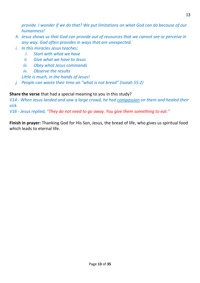*provide. I wonder if we do that? We put limitations on what God can do because of our humanness!* 

- *h. Jesus shows us that God can provide out of resources that we cannot see or perceive in any way. God often provides in ways that are unexpected.*
- *i. In this miracles Jesus teaches:*
	- *i. Start with what we have*
	- *ii. Give what we have to Jesus*
	- *iii. Obey what Jesus commands*
	- *iv. Observe the results*

*Little is much, in the hands of Jesus!*

*j. People can waste their time on "what is not bread" (Isaiah 55:2)*

# **Share the verse** that had a special meaning to you in this study?

*V14 - When Jesus landed and saw a large crowd, he had compassion on them and healed their sick.*

*V16 - Jesus replied, "They do not need to go away. You give them something to eat."*

**Finish in prayer:** Thanking God for His Son, Jesus, the bread of life, who gives us spiritual food which leads to eternal life.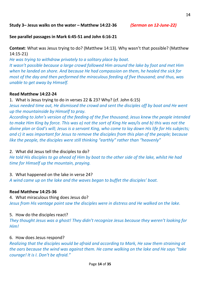#### **Study 3– Jesus walks on the water – Matthew 14:22-36** *(Sermon on 12-June-22)*

**See parallel passages in Mark 6:45-51 and John 6:16-21**

**Context**: What was Jesus trying to do? (Matthew 14:13). Why wasn't that possible? (Matthew 14:15-21)

*He was trying to withdraw privately to a solitary place by boat. It wasn't possible because a large crowd followed Him around the lake by foot and met Him when he landed on shore. And because He had compassion on them, he healed the sick for most of the day and then performed the miraculous feeding of five thousand; and thus, was unable to get away by Himself.*

## **Read Matthew 14:22-24**

1. What is Jesus trying to do in verses 22 & 23? Why? (cf. John 6:15)

*Jesus needed time out, He dismissed the crowd and sent the disciples off by boat and He went up the mountainside by Himself to pray.*

*According to John's version of the feeding of the five thousand; Jesus knew the people intended to make Him King by force. This was a) not the sort of King He was/is and b) this was not the divine plan or God's will; Jesus is a servant King, who come to lay down His life for His subjects; and c) it was important for Jesus to remove the disciples from this plan of the people; because like the people, the disciples were still thinking "earthly" rather than "heavenly"*

## 2. What did Jesus tell the disciples to do?

*He told His disciples to go ahead of Him by boat to the other side of the lake, whilst He had time for Himself up the mountain, praying.*

## 3. What happened on the lake in verse 24?

*A wind came up on the lake and the waves began to buffet the disciples' boat.*

## **Read Matthew 14:25-36**

4. What miraculous thing does Jesus do? *Jesus from His vantage point saw the disciples were in distress and He walked on the lake.*

# 5. How do the disciples react?

*They thought Jesus was a ghost! They didn't recognize Jesus because they weren't looking for Him!*

# 6. How does Jesus respond?

*Realizing that the disciples would be afraid and according to Mark, He saw them straining at the oars because the wind was against them. He came walking on the lake and He says "take courage! It is I. Don't be afraid."*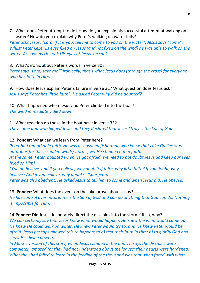7. What does Peter attempt to do? How do you explain his successful attempt at walking on water? How do you explain why Peter's walking on water fails?

*Peter asks Jesus: "Lord, if it is you; tell me to come to you on the water". Jesus says "come". Whilst Peter kept His eyes fixed on Jesus (and not fixed on the wind) he was able to walk on the water. As soon as He took His eyes of Jesus, he sank.*

# 8. What's ironic about Peter's words in verse 30?

*Peter says "Lord, save me!" Ironically, that's what Jesus does (through the cross) for everyone who has faith in Him!*

9. How does Jesus explain Peter's failure in verse 31? What question does Jesus ask? *Jesus says Peter has 'little faith". He asked Peter why did he doubted?*

10. What happened when Jesus and Peter climbed into the boat? *The wind immediately died down.*

11.What reaction do those in the boat have in verse 33? *They came and worshipped Jesus and they declared that Jesus "truly is the Son of God"*

# 12. **Ponder**: What can we learn from Peter here?

*Peter had remarkable faith. He was a seasoned fisherman who knew that Lake Galilee was notorious for these sudden winds/storms; yet He stepped out in faith.*

*At the same, Peter, doubted when He got afraid; we need to not doubt Jesus and keep our eyes fixed on Him!*

*"You do believe, and if you believe, why doubt? If faith, why little faith? If you doubt, why believe? And if you believe, why doubt?" (Spurgeon) Peter was also obedient. He asked Jesus to tell him to come and when Jesus did; He obeyed.*

# 13. **Ponder**: What does the event on the lake prove about Jesus?

*He has control over nature. He is the Son of God and can do anything that God can do. Nothing is impossible for Him.*

14.**Ponder**: Did Jesus deliberately direct the disciples into the storm? If so, why?

*We can certainly say that Jesus knew what would happen; He knew the wind would come up; He knew He could walk on water; He knew Peter would try to; and He knew Peter would be afraid. Jesus perhaps allowed this to happen; to a) test their faith in Him; b) to glorify God and show His divine powers.*

*In Mark's version of this story, when Jesus climbed in the boat; it says the disciples were completely amazed for they had not understood about the loaves; their hearts were hardened. What they had failed to learn in the feeding of the thousand was that when faced with what*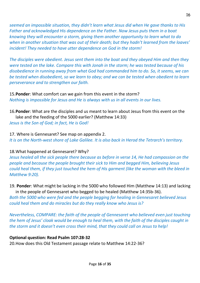*seemed an impossible situation, they didn't learn what Jesus did when He gave thanks to His Father and acknowledged His dependence on the Father. Now Jesus puts them in a boat knowing they will encounter a storm, giving them another opportunity to learn what to do when in another situation that was out of their death; but they hadn't learned from the loaves' incident! They needed to have utter dependence on God in the storm!*

*The disciples were obedient. Jesus sent them into the boat and they obeyed Him and then they were tested on the lake. Compare this with Jonah in the storm; he was tested because of his disobedience in running away from what God had commanded him to do. So, it seems, we can be tested when disobedient, so we learn to obey; and we can be tested when obedient to learn perseverance and to strengthen our faith.*

# 15.**Ponder**: What comfort can we gain from this event in the storm? *Nothing is impossible for Jesus and He is always with us in all events in our lives.*

16.**Ponder**: What are the disciples and us meant to learn about Jesus from this event on the lake and the feeding of the 5000 earlier? (Matthew 14:33)

*Jesus is the Son of God; in fact, He is God!*

17. Where is Gennesaret? See map on appendix 2. *It is on the North-west shore of Lake Galilee. It is also back in Herod the Tetrarch's territory.*

# 18.What happened at Gennesaret? Why?

*Jesus healed all the sick people there because as before in verse 14, He had compassion on the people and because the people brought their sick to Him and begged Him, believing Jesus could heal them, if they just touched the hem of His garment (like the woman with the bleed in Matthew 9:20).*

19. **Ponder**: What might be lacking in the 5000 who followed Him (Matthew 14:13) and lacking in the people of Gennesaret who begged to be healed (Matthew 14:35b-36).

*Both the 5000 who were fed and the people begging for healing in Gennesaret believed Jesus could heal them and do miracles but do they really know who Jesus is?*

*Nevertheless, COMPARE: the faith of the people of Gennesaret who believed even just touching the hem of Jesus' cloak would be enough to heal them, with the faith of the disciples caught in the storm and it doesn't even cross their mind, that they could call on Jesus to help!*

# **Optional question: Read Psalm 107:28-32**

20.How does this Old Testament passage relate to Matthew 14:22-36?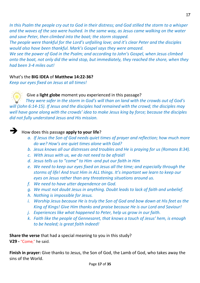*In this Psalm the people cry out to God in their distress; and God stilled the storm to a whisper and the waves of the sea were hushed. In the same way, as Jesus came walking on the water and save Peter, then climbed into the boat; the storm stopped.*

*The people were thankful for the Lord's unfailing love; and it's clear Peter and the disciples would also have been thankful. Mark's Gospel says they were amazed.*

*We see the power of God in the Psalm; and according to John's Gospel, when Jesus climbed onto the boat, not only did the wind stop, but immediately, they reached the shore, when they had been 3-4 miles out!*

# What's the **BIG IDEA** of **Matthew 14:22-36?**

*Keep our eyes fixed on Jesus at all times!*

# Give a **light globe** moment you experienced in this passage?

*They were safer in the storm in God's will than on land with the crowds out of God's will (John 6:14-15). If Jesus and the disciples had remained with the crowd; the disciples may well have gone along with the crowds' idea to make Jesus king by force; because the disciples did not fully understand Jesus and His mission.*



# ➔ How does this passage **apply to your life**?

- *a. If Jesus the Son of God needs quiet times of prayer and reflection; how much more do we? How's are quiet times alone with God?*
- *b. Jesus knows all our distresses and troubles and He is praying for us (Romans 8:34).*
- *c. With Jesus with us, we do not need to be afraid!*
- *d. Jesus tells us to "come" to Him -and put our faith in Him*
- *e. We need to keep our eyes fixed on Jesus all the time; and especially through the storms of life! And trust Him in ALL things. It's important we learn to keep our eyes on Jesus rather than any threatening situations around us.*
- *f. We need to have utter dependence on God.*
- *g. We must not doubt Jesus in anything. Doubt leads to lack of faith and unbelief.*
- *h. Nothing is impossible for Jesus.*
- *i. Worship Jesus because He is truly the Son of God and bow down at His feet as the King of Kings! Give Him thanks and praise because He is our Lord and Saviour!*
- *j. Experiences like what happened to Peter, help us grow in our faith.*
- *k. Faith like the people of Gennesaret, that knows a touch of Jesus' hem, is enough to be healed; is great faith indeed!*

**Share the verse** that had a special meaning to you in this study?

**V29 -** "Come," he said.

**Finish in prayer:** Give thanks to Jesus, the Son of God, the Lamb of God, who takes away the sins of the World.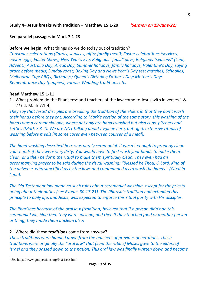# **See parallel passages in Mark 7:1-23**

# **Before we begin**: What things do we do today out of tradition?

*Christmas celebrations (Carols, services, gifts; family meal); Easter celebrations (services, easter eggs; Easter Show); New Year's Eve; Religious "feast" days; Religious "seasons" (Lent, Advent); Australia Day; Anzac Day; Summer holidays; family holidays; Valentine's Day; saying grace before meals; Sunday roast; Boxing Day and News Year's Day test matches; Schoolies; Melbourne Cup; BBQs; Birthdays; Queen's Birthday; Father's Day; Mother's Day; Remembrance Day (poppies); various Wedding traditions etc.*

# **Read Matthew 15:1-11**

1. What problem do the Pharisees<sup>1</sup> and teachers of the law come to Jesus with in verses 1 & 2? (cf. Mark 7:1-4)

*They say that Jesus' disciples are breaking the tradition of the elders in that they don't wash their hands before they eat. According to Mark's version of the same story, this washing of the hands was a ceremonial one, where not only are hands washed but also cups, pitchers and kettles (Mark 7:3-4). We are NOT talking about hygiene here, but rigid, extensive rituals of washing before meals (in some cases even between courses of a meal).*

*The hand washing described here was purely ceremonial. It wasn't enough to properly clean your hands if they were very dirty. You would have to first wash your hands to make them clean, and then perform the ritual to make them spiritually clean. They even had an accompanying prayer to be said during the ritual washing: "Blessed be Thou, O Lord, King of the universe, who sanctified us by the laws and commanded us to wash the hands." (Cited in Lane).*

*The Old Testament law made no such rules about ceremonial washing, except for the priests going about their duties (see Exodus 30:17-21). The Pharisaic tradition had extended this principle to daily life, and Jesus, was expected to enforce this ritual purity with His disciples.*

*The Pharisees because of the oral law (tradition) believed that if a person didn't do this ceremonial washing then they were unclean, and then if they touched food or another person or thing; they made them unclean also!*

## 2. Where did these *traditions* come from anyway?

*These traditions were handed down from the teachers of previous generations. These traditions were originally the "oral law" that (said the rabbis) Moses gave to the elders of Israel and they passed down to the nation. This oral law was finally written down and became* 

<sup>1</sup> See https://www.gotquestions.org/Pharisees.html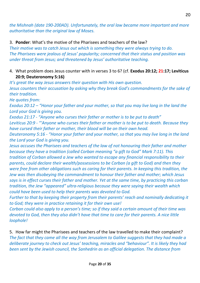*the Mishnah (date 190-200AD). Unfortunately, the oral law became more important and more authoritative than the original law of Moses.*

3. **Ponder**: What's the motive of the Pharisees and teachers of the law?

*Their motive was to catch Jesus out which is something they were always trying to do. The Pharisees were jealous of Jesus' popularity; concerned that their status and position was under threat from Jesus; and threatened by Jesus' authoritative teaching.*

# 4. What problem does Jesus counter with in verses 3 to 6? (cf. **Exodus 20:12; 21:17; Leviticus 20:9; Deuteronomy 5:16)**

*It's great the way Jesus answers their question with His own question. Jesus counters their accusation by asking why they break God's commandments for the sake of their tradition.*

*He quotes from:*

*Exodus 20:12 – "Honor your father and your mother, so that you may live long in the land the Lord your God is giving you.*

*Exodus 21:17 - "Anyone who curses their father or mother is to be put to death"*

*Leviticus 20:9 - "'Anyone who curses their father or mother is to be put to death. Because they have cursed their father or mother, their blood will be on their own head.*

*Deuteronomy 5:16 - "Honor your father and your mother, so that you may live long in the land the Lord your God is giving you.*

*Jesus accuses the Pharisees and teachers of the law of not honouring their father and mother because they have a tradition (called Corban meaning "a gift to God" Mark 7:11). This tradition of Corban allowed a Jew who wanted to escape any financial responsibility to their parents, could declare their wealth/possessions to be Corban (a gift to God) and then they were free from other obligations such as caring for their parents. In keeping this tradition, the Jew was then disobeying the commandment to honour their father and mother; which Jesus says is in effect curses their father and mother. Yet at the same time, by practicing this corban tradition, the Jew "appeared" ultra-religious because they were saying their wealth which could have been used to help their parents was devoted to God.*

*Further to that by keeping their property from their parents' reach and nominally dedicating it to God; they were in practice retaining it for their own use!*

*Corban could also apply to a person's time; so if they said a certain amount of their time was devoted to God, then they also didn't have that time to care for their parents. A nice little loophole!*

5. How far might the Pharisees and teachers of the law travelled to make their complaint? *The fact that they came all the way from Jerusalem to Galilee suggests that they had made a deliberate journey to check out Jesus' teaching, miracles and "behaviour". It is likely they had been sent by the Jewish council, the Sanhedrin as an official delegation. The distance from*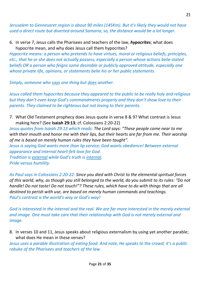*Jerusalem to Gennesaret region is about 90 miles (145Km). But it's likely they would not have used a direct route but diverted around Samaria; so, the distance would be a lot longer.*

6. In verse 7, Jesus calls the Pharisees and teachers of the law, *hypocrites*; what does hypocrite mean, and why does Jesus call them hypocrites?

*Hypocrite means: a person who pretends to have virtues, moral or religious beliefs, principles, etc., that he or she does not actually possess, especially a person whose actions belie stated beliefs OR a person who feigns some desirable or publicly approved attitude, especially one whose private life, opinions, or statements belie his or her public statements.*

*Simply, someone who says one thing but does another.* 

*Jesus called them hypocrites because they appeared to the public to be really holy and religious but they don't even keep God's commandments properly and they don't show love to their parents. They claimed to be righteous but not loving to their parents.*

7. What Old Testament prophecy does Jesus quote in verse 8 & 9? What contrast is Jesus making here? (See **Isaiah 29:13**; cf. Colossians 2:20-22)

*Jesus quotes from Isaiah 29:13 which reads: The Lord says: "These people come near to me with their mouth and honor me with their lips, but their hearts are far from me. Their worship of me is based on merely human rules they have been taught".*

*Jesus is saying God wants more than lip service; God wants obedience! Between external appearance and internal heart-felt love for God.*

*Tradition is external while God's truth is internal. Pride versus humility.*

*As Paul says in Colossians 2:20-22: Since you died with Christ to the elemental spiritual forces of this world, why, as though you still belonged to the world, do you submit to its rules: "Do not handle! Do not taste! Do not touch!"? These rules, which have to do with things that are all destined to perish with use, are based on merely human commands and teachings. Paul's contrast is the world's way or God's way!*

*God is interested in the internal and the real. We are far more interested in the merely external and image. One must take care that their relationship with God is not merely external and image.*

8. In verses 10 and 11, Jesus speaks about religious externalism by using yet another parable; what does He mean in these verses?

*Jesus uses a parable illustration of eating food. And note, He speaks to the crowd; it's a public rebuke of the Pharisees and teachers of the law.*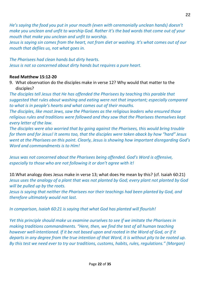*He's saying the food you put in your mouth (even with ceremonially unclean hands) doesn't make you unclean and unfit to worship God. Rather it's the bad words that come out of your mouth that make you unclean and unfit to worship.*

*Jesus is saying sin comes from the heart, not from diet or washing. It's what comes out of our mouth that defiles us, not what goes in.*

*The Pharisees had clean hands but dirty hearts. Jesus is not so concerned about dirty hands but requires a pure heart.*

# **Read Matthew 15:12-20**

9. What observation do the disciples make in verse 12? Why would that matter to the disciples?

*The disciples tell Jesus that He has offended the Pharisees by teaching this parable that suggested that rules about washing and eating were not that important; especially compared to what is in people's hearts and what comes out of their mouths.*

*The disciples, like most Jews, saw the Pharisees as the religious leaders who ensured those religious rules and traditions were followed and they saw that the Pharisees themselves kept every letter of the law.*

*The disciples were also worried that by going against the Pharisees, this would bring trouble for them and for Jesus! It seems too, that the disciples were taken aback by how "hard" Jesus went at the Pharisees on this point. Clearly, Jesus is showing how important disregarding God's Word and commandments is to Him!*

*Jesus was not concerned about the Pharisees being offended. God's Word is offensive, especially to those who are not following it or don't agree with it!*

10.What analogy does Jesus make in verse 13; what does He mean by this? (cf. Isaiah 60:21) *Jesus uses the analogy of a plant that was not planted by God; every plant not planted by God will be pulled up by the roots.*

*Jesus is saying that neither the Pharisees nor their teachings had been planted by God, and therefore ultimately would not last.* 

*In comparison, Isaiah 60:21 is saying that what God has planted will flourish!*

*Yet this principle should make us examine ourselves to see if we imitate the Pharisees in making traditions commandments. "Here, then, we find the test of all human teaching* however well-intentioned. If it be not based upon and rooted in the Word of God, or if it *departs in any degree from the true intention of that Word, it is without pity to be rooted up. By this test we need ever to try our traditions, customs, habits, rules, regulations." (Morgan)*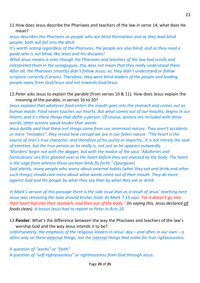# 11.How does Jesus describe the Pharisees and teachers of the law in verse 14; what does He mean?

*Jesus describes the Pharisees as people who are blind themselves and as they lead blind people; both will fall into the ditch.*

*It's worth noting regardless of the Pharisees, the people are also blind; and so they need a guide who is not blind; like Jesus and His disciples!*

*What Jesus means is even though the Pharisees and teachers of the law had scrolls and interpreted them in the synagogues, this does not mean that they really understood them. After all, the Pharisees (mostly) didn't follow Jesus; so, they didn't understand or follow scripture correctly (Carson). Therefore, they were blind leaders of the people and leading people away from God/Jesus and not towards God/Jesus.*

# 12.Peter asks Jesus to explain the parable (from verses 10 & 11). How does Jesus explain the meaning of the parable, in verses 16 to 20?

*Jesus explains that whatever food enters the mouth goes into the stomach and comes out as human waste. Food never touches our hearts. But what comes out of our mouths, begins in our hearts; and it's these things that defile a person. Of course, actions are included with these words; often actions speak louder than words.*

*Jesus boldly said that these evil things come from our innermost nature. They aren't accidents or mere "mistakes"; they reveal how corrupt we are in our fallen nature. "The heart is the source of man's true character, and therefore of his purity or impurity…it is not merely the seat of emotion, but the true person as he really is, not just as he appears outwardly.*

*'Murders' begin not with the dagger, but with the malice of the soul. 'Adulteries and fornications' are first gloated over in the heart before they are enacted by the body. The heart is the cage from whence these unclean birds fly forth." (Spurgeon)*

*Said plainly, many people who worry about external habits (what they eat and drink and other such things) should care more about what words come out of their mouth. They do more against God and His people by what they say than by what they eat or drink.*

*In Mark's version of this passage there is the side issue that as a result of Jesus' teaching here Jesus was removing the laws around kosher food. As Mark 7:19 says: For it doesn't go into their heart but into their stomach, and then out of the body." (In saying this, Jesus declared all foods clean). A lesson Jesus had to repeat to Peter in Acts 10.*

# 13.**Ponder**: What's the difference between the way the Pharisees and teachers of the law's worship God and the way Jesus intends it to be?

*Unfortunately, the emphasis of the religious leaders in Jesus' day – and often in our own – is often only on these external things, not the internal things that make for true righteousness.*

*A question of "works" or "faith" A question of "self-righteousness" or righteousness from God through Jesus.*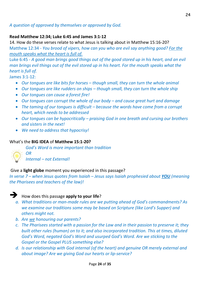# *A question of approved by themselves or approved by God.*

# **Read Matthew 12:34; Luke 6:45 and James 3:1-12**

14. How do these verses relate to what Jesus is talking about in Matthew 15:16-20? Matthew 12:34 *- You brood of vipers, how can you who are evil say anything good? For the mouth speaks what the heart is full of.*

Luke 6:45 - *A good man brings good things out of the good stored up in his heart, and an evil man brings evil things out of the evil stored up in his heart. For the mouth speaks what the heart is full of.*

James 3:1-12:

- *Our tongues are like bits for horses – though small, they can turn the whole animal*
- *Our tongues are like rudders on ships – though small, they can turn the whole ship*
- *Our tongues can cause a forest fire!*
- *Our tongues can corrupt the whole of our body – and cause great hurt and damage*
- The taming of our tongues is difficult because the words have come from a corrupt *heart, which needs to be addressed*
- *Our tongues can be hypocritically – praising God in one breath and cursing our brothers and sisters in the next!*
- *We need to address that hypocrisy!*

# What's the **BIG IDEA** of **Matthew 15:1-20?**

*God's Word is more important than tradition*



*OR*

*Internal – not External!*

## Give a **light globe** moment you experienced in this passage?

*In verse 7 – when Jesus quotes from Isaiah – Jesus says Isaiah prophesied about YOU (meaning the Pharisees and teachers of the law)!*



# ➔ How does this passage **apply to your life**?

- *a. What traditions or man-made rules are we putting ahead of God's commandments? As we examine our traditions some may be based on Scripture (like Lord's Supper) and others might not.*
- *b. Are we honouring our parents?*
- *c. The Pharisees started with a passion for the Law and in their passion to preserve it; they built other rules (human) on to it; and also incorporated tradition. This at times, diluted God's Word, negated God's Word and usurped God's Word. Are we sticking to the Gospel or the Gospel PLUS something else?*
- *d. Is our relationship with God internal (of the heart) and genuine OR merely external and about image? Are we giving God our hearts or lip-service?*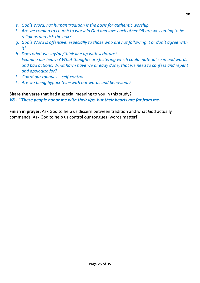- *e. God's Word, not human tradition is the basis for authentic worship.*
- *f. Are we coming to church to worship God and love each other OR are we coming to be religious and tick the box?*
- *g. God's Word is offensive, especially to those who are not following it or don't agree with it!*
- *h. Does what we say/do/think line up with scripture?*
- *i. Examine our hearts? What thoughts are festering which could materialize in bad words and bad actions. What harm have we already done, that we need to confess and repent and apologize for?*
- *j. Guard our tongues – self-control.*
- *k. Are we being hypocrites – with our words and behaviour?*

**Share the verse** that had a special meaning to you in this study? *V8 - "'These people honor me with their lips, but their hearts are far from me.*

**Finish in prayer:** Ask God to help us discern between tradition and what God actually commands. Ask God to help us control our tongues (words matter!)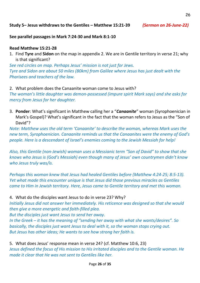**See parallel passages in Mark 7:24-30 and Mark 8:1-10** 

## **Read Matthew 15:21-28**

1. Find **Tyre** and **Sidon** on the map in appendix 2. We are in Gentile territory in verse 21; why is that significant?

*See red circles on map. Perhaps Jesus' mission is not just for Jews. Tyre and Sidon are about 50 miles (80km) from Galilee where Jesus has just dealt with the Pharisees and teachers of the law.*

2. What problem does the Canaanite woman come to Jesus with? *The woman's little daughter was demon-possessed (impure spirit Mark says) and she asks for mercy from Jesus for her daughter.*

3. **Ponder**: What's significant in Matthew calling her a "*Canaanite*" woman (Syrophoenician in Mark's Gospel)? What's significant in the fact that the woman refers to Jesus as the "Son of David"?

*Note: Matthew uses the old term 'Canaanite' to describe the woman, whereas Mark uses the new term, Syrophoenician. Canaanite reminds us that the Canaanites were the enemy of God's people. Here is a descendant of Israel's enemies coming to the Jewish Messiah for help!*

*Also, this Gentile (non-Jewish) woman uses a Messianic term "Son of David" to show that she knows who Jesus is (God's Messiah) even though many of Jesus' own countrymen didn't know who Jesus truly was/is.*

*Perhaps this woman knew that Jesus had healed Gentiles before (Matthew 4:24-25; 8:5-13). Yet what made this encounter unique is that Jesus did those previous miracles as Gentiles came to Him in Jewish territory. Here, Jesus came to Gentile territory and met this woman.*

4. What do the disciples want Jesus to do in verse 23? Why?

*Initially Jesus did not answer her immediately. His reticence was designed so that she would then give a more energetic and faith-filled plea.* 

*But the disciples just want Jesus to send her away.*

*In the Greek – it has the meaning of "sending her away with what she wants/desires". So basically, the disciples just want Jesus to deal with it, so the woman stops crying out. But Jesus has other ideas; He wants to see how strong her faith is.*

5. What does Jesus' response mean in verse 24? (cf. Matthew 10:6, 23) *Jesus defined the focus of His mission to His irritated disciples and to the Gentile woman. He made it clear that He was not sent to Gentiles like her.*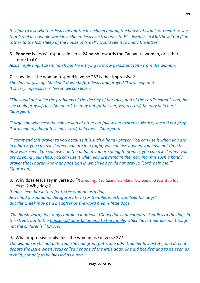*It is fair to ask whether Jesus meant the lost sheep among the house of Israel, or meant to say that Israel as a whole were lost sheep. Jesus' instructions to His disciples in Matthew 10:6 ("go rather to the lost sheep of the house of Israel") would seem to imply the latter.*

# 6. **Ponder**: Is Jesus' response in verse 24 harsh towards the Canaanite woman, or is there more to it?

*Jesus' reply might seem harsh but He is trying to draw persistent faith from the woman.*

7. How does the woman respond in verse 25? Is that impressive? *She did not give up. She knelt down before Jesus and prayed "Lord, help me! It is very impressive. A lesson we can learn.*

*"She could not solve the problems of the destiny of her race, and of the Lord's commission; but she could pray…If, as a Shepherd, he may not gather her, yet, as Lord, he may help her." (Spurgeon)*

*"I urge you who seek the conversion of others to follow her example. Notice, she did not pray, 'Lord, help my daughter;' but, 'Lord, help me.'" (Spurgeon)*

*"I commend this prayer to you because it is such a handy prayer. You can use it when you are in a hurry, you can use it when you are in a fright, you can use it when you have not time to bow your knee. You can use it in the pulpit if you are going to preach, you can use it when you are opening your shop, you can use it when you are rising in the morning. It is such a handy prayer that I hardly know any position in which you could not pray it: 'Lord, help me.'" (Spurgeon)*

8. Why does Jesus say in verse 26 "*It is not right to take the children's bread and toss it to the dogs.*"? Why dogs?

*It may seem harsh to refer to the woman as a dog. Jews had a traditional derogatory term for Gentiles which was "Gentile dogs". But the Greek may be a bit softer as the word means little dogs.*

*The harsh word, dog, may contain a loophole. [Dogs] does not compare Gentiles to the dogs in the street, but to the household dogs belonging to the family, which have their portion though not the children's." (Bruce)*

9. What impressive reply does the woman use in verse 27?

*The woman is still not deterred; she had great faith. She admitted her low estate, and did not debate the issue when Jesus called her one of the little dogs. She did not demand to be seen as a child; but only to be blessed as a dog.*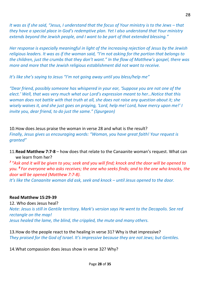*It was as if she said, "Jesus, I understand that the focus of Your ministry is to the Jews – that they have a special place in God's redemptive plan. Yet I also understand that Your ministry extends beyond the Jewish people, and I want to be part of that extended blessing."*

*Her response is especially meaningful in light of the increasing rejection of Jesus by the Jewish religious leaders. It was as if the woman said, "I'm not asking for the portion that belongs to the children, just the crumbs that they don't want." In the flow of Matthew's gospel, there was more and more that the Jewish religious establishment did not want to receive.*

*It's like she's saying to Jesus "I'm not going away until you bless/help me"*

*"Dear friend, possibly someone has whispered in your ear, 'Suppose you are not one of the elect.' Well, that was very much what our Lord's expression meant to her…Notice that this woman does not battle with that truth at all, she does not raise any question about it; she wisely waives it, and she just goes on praying, 'Lord, help me! Lord, have mercy upon me!' I invite you, dear friend, to do just the same." (Spurgeon)*

10.How does Jesus praise the woman in verse 28 and what is the result? *Finally, Jesus gives us encouraging words: "Woman, you have great faith! Your request is granted"*

11.**Read Matthew 7:7-8** – how does that relate to the Canaanite woman's request. What can we learn from her?

*7 "Ask and it will be given to you; seek and you will find; knock and the door will be opened to you. 8 For everyone who asks receives; the one who seeks finds; and to the one who knocks, the door will be opened (Matthew 7:7-8).*

*It*<sup>'</sup>s like the Canaanite woman *did ask, seek and knock – until Jesus opened to the door.* 

# **Read Matthew 15:29-39**

12. Who does Jesus heal?

*Note: Jesus is still in Gentile territory. Mark's version says He went to the Decapolis. See red rectangle on the map! Jesus healed the lame, the blind, the crippled, the mute and many others.*

13.How do the people react to the healing in verse 31? Why is that impressive? *They praised for the God of Israel. It's impressive because they are not Jews; but Gentiles.*

14.What compassion does Jesus show in verse 32? Why?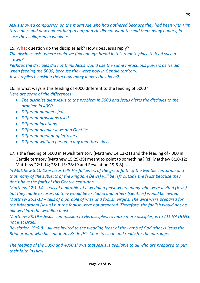*Jesus showed compassion on the multitude who had gathered because they had been with Him three days and now had nothing to eat; and He did not want to send them away hungry, in case they collapsed in weakness.*

# 15. What question do the disciples ask? How does Jesus reply?

*The disciples ask "where could we find enough bread in this remote place to feed such a crowd?"*

*Perhaps the disciples did not think Jesus would use the same miraculous powers as He did when feeding the 5000, because they were now in Gentile territory. Jesus replies by asking them how many loaves they have?*

# 16. In what ways is this feeding of 4000 different to the feeding of 5000?

*Here are some of the differences:*

- *The disciples alert Jesus to the problem in 5000 and Jesus alerts the disciples to the problem in 4000.*
- *Different numbers fed*
- *Different provisions used*
- *Different locations*
- *Different people: Jews and Gentiles*
- *Different amount of leftovers*
- *Different waiting period: a day and three days*
- 17.Is the feeding of 5000 in Jewish territory (Matthew 14:13-21) and the feeding of 4000 in Gentile territory (Matthew 15:29-39) meant to point to something? (cf. Matthew 8:10-12; Matthew 22:1-14; 25:1-13; 28:19 and Revelation 19:6-8).

*In Matthew 8:10-12 – Jesus tells His followers of the great faith of the Gentile centurion and that many of the subjects of the Kingdom (Jews) will be left outside the feast because they don't have the faith of this Gentile centurion.*

*Matthew 22:1-14 – tells of a parable of a wedding feast where many who were invited (Jews) but they made excuses; so they would be excluded and others (Gentiles) would be invited. Matthew 25:1-13 – tells of a parable of wise and foolish virgins. The wise were prepared for the bridegroom (Jesus) but the foolish were not prepared. Therefore, the foolish would not be allowed into the wedding feast.*

*Matthew 28:19 – Jesus' commission to His disciples, to make more disciples, is to ALL NATIONS, not just Israel.*

*Revelation 19:6-8 – All are invited to the wedding feast of the Lamb of God (that is Jesus the Bridegroom) who has made His Bride (His Church) clean and ready for the marriage.*

*The feeding of the 5000 and 4000 shows that Jesus is available to all who are prepared to put their faith in Him!*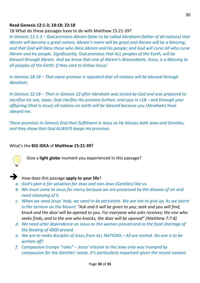## **Read Genesis 12:1-3; 18:18; 22:18**

18.What do these passages have to do with Matthew 15:21-39?

*In Genesis 12:1-3 – God promises Abram (later to be called Abraham=father of all nations) that Abram will become a great nation; Abram's name will be great and Abram will be a blessing; and that God will bless those who bless Abram and his people; and God will curse all who curse Abram and his people. Significantly, God promises that ALL peoples of the Earth, will be blessed through Abram. And we know that one of Abram's descendants, Jesus, is a blessing to all peoples of the Earth; if they care to follow Jesus!*

*In Genesis 18:18 – That same promise is repeated that all nations will be blessed through Abraham.* 

*In Genesis 22:18 – Then in Genesis 22 after Abraham was tested by God and was prepared to sacrifice his son, Isaac; God clarifies His promise further; and says in v18 – and through your offspring (that is Jesus) all nations on earth will be blessed because you (Abraham) have obeyed me.*

*These promises in Genesis find their fulfilment in Jesus as He blesses both Jews and Gentiles; and they show that God ALWAYS keeps His promises.*

#### What's the **BIG IDEA** of **Matthew 15:21-39?**



Give a **light globe** moment you experienced in this passage?



# ➔ How does this passage **apply to your life**?

- *a. God's plan is for salvation for Jews and non-Jews (Gentiles) like us.*
- *b. We must come to Jesus for mercy because we are possessed by the disease of sin and need cleansing of it.*
- *c. When we need Jesus' help, we need to be persistent. We are not to give up. As we learnt in the Sermon on the Mount: "Ask and it will be given to you; seek and you will find; knock and the door will be opened to you. For everyone who asks receives; the one who seeks finds; and to the one who knocks, the door will be opened" (Matthew 7:7-8)*
- *d. We need utter dependence on Jesus as the woman proved and as the food shortage of the feeding of 4000 proved.*
- *e. We are to make disciples of Jesus from ALL NATIONS – All are invited. No one is to be written off!*
- *f. Compassion trumps "rules" – Jesus' mission to the Jews only was trumped by compassion for the Gentiles' needs. It's particularly important given the recent context*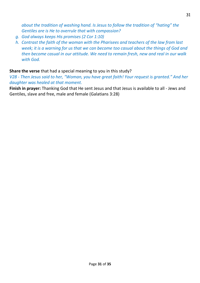*about the tradition of washing hand. Is Jesus to follow the tradition of "hating" the Gentiles are is He to overrule that with compassion?*

- *g. God always keeps His promises (2 Cor 1:10)*
- *h. Contrast the faith of the woman with the Pharisees and teachers of the law from last week; it is a warning for us that we can become too casual about the things of God and then become casual in our attitude. We need to remain fresh, new and real in our walk with God.*

**Share the verse** that had a special meaning to you in this study?

*V28 - Then Jesus said to her, "Woman, you have great faith! Your request is granted." And her daughter was healed at that moment.*

**Finish in prayer:** Thanking God that He sent Jesus and that Jesus is available to all - Jews and Gentiles, slave and free, male and female (Galatians 3:28)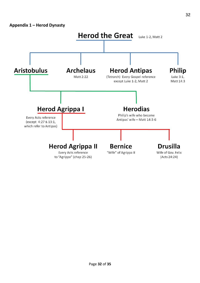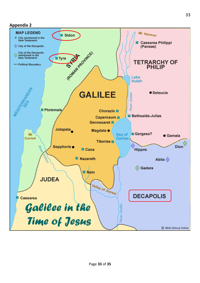# **Appendix 2**

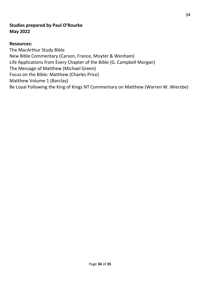# **Studies prepared by Paul O'Rourke May 2022**

# **Resources:**

The MacArthur Study Bible New Bible Commentary (Carson, France, Moyter & Wenham) Life Applications from Every Chapter of the Bible (G. Campbell Morgan) The Message of Matthew (Michael Green) Focus on the Bible: Matthew (Charles Price) Matthew Volume 1 (Barclay) Be Loyal Following the King of Kings NT Commentary on Matthew (Warren W. Wiersbe)